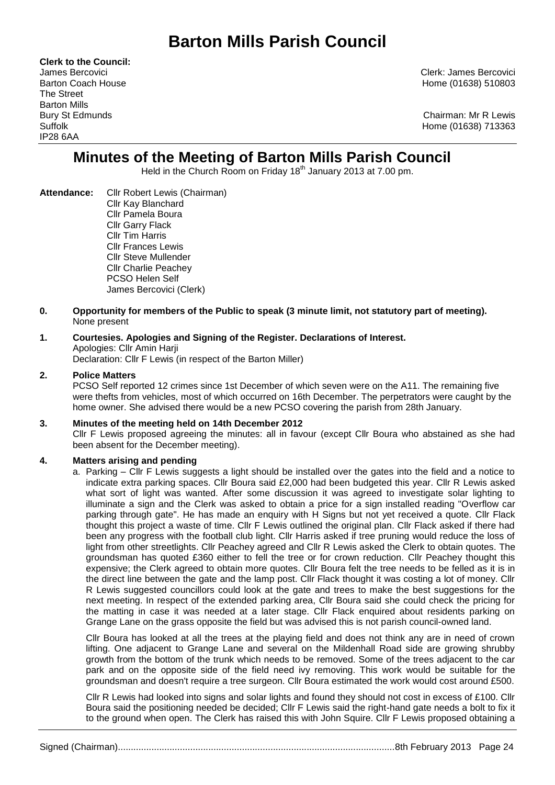# **Barton Mills Parish Council**

**Clerk to the Council:** The Street Barton Mills IP28 6AA

James Bercovici Clerk: James Bercovici Barton Coach House **Home (01638)** 510803

Bury St Edmunds Chairman: Mr R Lewis Suffolk Home (01638) 713363

## **Minutes of the Meeting of Barton Mills Parish Council**

Held in the Church Room on Friday 18<sup>th</sup> January 2013 at 7.00 pm.

- **Attendance:** Cllr Robert Lewis (Chairman) Cllr Kay Blanchard Cllr Pamela Boura Cllr Garry Flack Cllr Tim Harris Cllr Frances Lewis Cllr Steve Mullender Cllr Charlie Peachey PCSO Helen Self James Bercovici (Clerk)
- **0. Opportunity for members of the Public to speak (3 minute limit, not statutory part of meeting).**  None present

## **1. Courtesies. Apologies and Signing of the Register. Declarations of Interest.** Apologies: Cllr Amin Harji

Declaration: Cllr F Lewis (in respect of the Barton Miller)

#### **2. Police Matters**

PCSO Self reported 12 crimes since 1st December of which seven were on the A11. The remaining five were thefts from vehicles, most of which occurred on 16th December. The perpetrators were caught by the home owner. She advised there would be a new PCSO covering the parish from 28th January.

#### **3. Minutes of the meeting held on 14th December 2012**

Cllr F Lewis proposed agreeing the minutes: all in favour (except Cllr Boura who abstained as she had been absent for the December meeting).

#### **4. Matters arising and pending**

a. Parking – Cllr F Lewis suggests a light should be installed over the gates into the field and a notice to indicate extra parking spaces. Cllr Boura said £2,000 had been budgeted this year. Cllr R Lewis asked what sort of light was wanted. After some discussion it was agreed to investigate solar lighting to illuminate a sign and the Clerk was asked to obtain a price for a sign installed reading "Overflow car parking through gate". He has made an enquiry with H Signs but not yet received a quote. Cllr Flack thought this project a waste of time. Cllr F Lewis outlined the original plan. Cllr Flack asked if there had been any progress with the football club light. Cllr Harris asked if tree pruning would reduce the loss of light from other streetlights. Cllr Peachey agreed and Cllr R Lewis asked the Clerk to obtain quotes. The groundsman has quoted £360 either to fell the tree or for crown reduction. Cllr Peachey thought this expensive; the Clerk agreed to obtain more quotes. Cllr Boura felt the tree needs to be felled as it is in the direct line between the gate and the lamp post. Cllr Flack thought it was costing a lot of money. Cllr R Lewis suggested councillors could look at the gate and trees to make the best suggestions for the next meeting. In respect of the extended parking area, Cllr Boura said she could check the pricing for the matting in case it was needed at a later stage. Cllr Flack enquired about residents parking on Grange Lane on the grass opposite the field but was advised this is not parish council-owned land.

Cllr Boura has looked at all the trees at the playing field and does not think any are in need of crown lifting. One adjacent to Grange Lane and several on the Mildenhall Road side are growing shrubby growth from the bottom of the trunk which needs to be removed. Some of the trees adjacent to the car park and on the opposite side of the field need ivy removing. This work would be suitable for the groundsman and doesn't require a tree surgeon. Cllr Boura estimated the work would cost around £500.

Cllr R Lewis had looked into signs and solar lights and found they should not cost in excess of £100. Cllr Boura said the positioning needed be decided; Cllr F Lewis said the right-hand gate needs a bolt to fix it to the ground when open. The Clerk has raised this with John Squire. Cllr F Lewis proposed obtaining a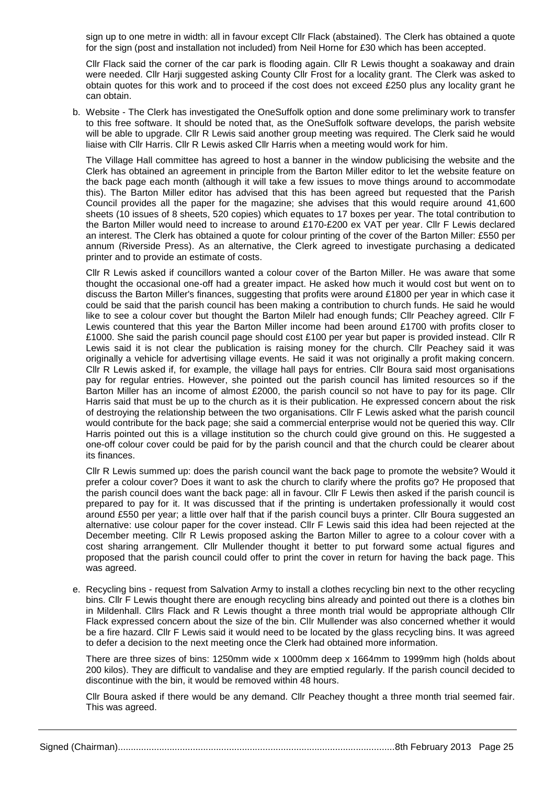sign up to one metre in width: all in favour except Cllr Flack (abstained). The Clerk has obtained a quote for the sign (post and installation not included) from Neil Horne for £30 which has been accepted.

Cllr Flack said the corner of the car park is flooding again. Cllr R Lewis thought a soakaway and drain were needed. Cllr Harji suggested asking County Cllr Frost for a locality grant. The Clerk was asked to obtain quotes for this work and to proceed if the cost does not exceed £250 plus any locality grant he can obtain.

b. Website - The Clerk has investigated the OneSuffolk option and done some preliminary work to transfer to this free software. It should be noted that, as the OneSuffolk software develops, the parish website will be able to upgrade. Cllr R Lewis said another group meeting was required. The Clerk said he would liaise with Cllr Harris. Cllr R Lewis asked Cllr Harris when a meeting would work for him.

The Village Hall committee has agreed to host a banner in the window publicising the website and the Clerk has obtained an agreement in principle from the Barton Miller editor to let the website feature on the back page each month (although it will take a few issues to move things around to accommodate this). The Barton Miller editor has advised that this has been agreed but requested that the Parish Council provides all the paper for the magazine; she advises that this would require around 41,600 sheets (10 issues of 8 sheets, 520 copies) which equates to 17 boxes per year. The total contribution to the Barton Miller would need to increase to around £170-£200 ex VAT per year. Cllr F Lewis declared an interest. The Clerk has obtained a quote for colour printing of the cover of the Barton Miller: £550 per annum (Riverside Press). As an alternative, the Clerk agreed to investigate purchasing a dedicated printer and to provide an estimate of costs.

Cllr R Lewis asked if councillors wanted a colour cover of the Barton Miller. He was aware that some thought the occasional one-off had a greater impact. He asked how much it would cost but went on to discuss the Barton Miller's finances, suggesting that profits were around £1800 per year in which case it could be said that the parish council has been making a contribution to church funds. He said he would like to see a colour cover but thought the Barton Milelr had enough funds; Cllr Peachey agreed. Cllr F Lewis countered that this year the Barton Miller income had been around £1700 with profits closer to £1000. She said the parish council page should cost £100 per year but paper is provided instead. Cllr R Lewis said it is not clear the publication is raising money for the church. Cllr Peachey said it was originally a vehicle for advertising village events. He said it was not originally a profit making concern. Cllr R Lewis asked if, for example, the village hall pays for entries. Cllr Boura said most organisations pay for regular entries. However, she pointed out the parish council has limited resources so if the Barton Miller has an income of almost £2000, the parish council so not have to pay for its page. Cllr Harris said that must be up to the church as it is their publication. He expressed concern about the risk of destroying the relationship between the two organisations. Cllr F Lewis asked what the parish council would contribute for the back page; she said a commercial enterprise would not be queried this way. Cllr Harris pointed out this is a village institution so the church could give ground on this. He suggested a one-off colour cover could be paid for by the parish council and that the church could be clearer about its finances.

Cllr R Lewis summed up: does the parish council want the back page to promote the website? Would it prefer a colour cover? Does it want to ask the church to clarify where the profits go? He proposed that the parish council does want the back page: all in favour. Cllr F Lewis then asked if the parish council is prepared to pay for it. It was discussed that if the printing is undertaken professionally it would cost around £550 per year; a little over half that if the parish council buys a printer. Cllr Boura suggested an alternative: use colour paper for the cover instead. Cllr F Lewis said this idea had been rejected at the December meeting. Cllr R Lewis proposed asking the Barton Miller to agree to a colour cover with a cost sharing arrangement. Cllr Mullender thought it better to put forward some actual figures and proposed that the parish council could offer to print the cover in return for having the back page. This was agreed.

e. Recycling bins - request from Salvation Army to install a clothes recycling bin next to the other recycling bins. Cllr F Lewis thought there are enough recycling bins already and pointed out there is a clothes bin in Mildenhall. Cllrs Flack and R Lewis thought a three month trial would be appropriate although Cllr Flack expressed concern about the size of the bin. Cllr Mullender was also concerned whether it would be a fire hazard. Cllr F Lewis said it would need to be located by the glass recycling bins. It was agreed to defer a decision to the next meeting once the Clerk had obtained more information.

There are three sizes of bins: 1250mm wide x 1000mm deep x 1664mm to 1999mm high (holds about 200 kilos). They are difficult to vandalise and they are emptied regularly. If the parish council decided to discontinue with the bin, it would be removed within 48 hours.

Cllr Boura asked if there would be any demand. Cllr Peachey thought a three month trial seemed fair. This was agreed.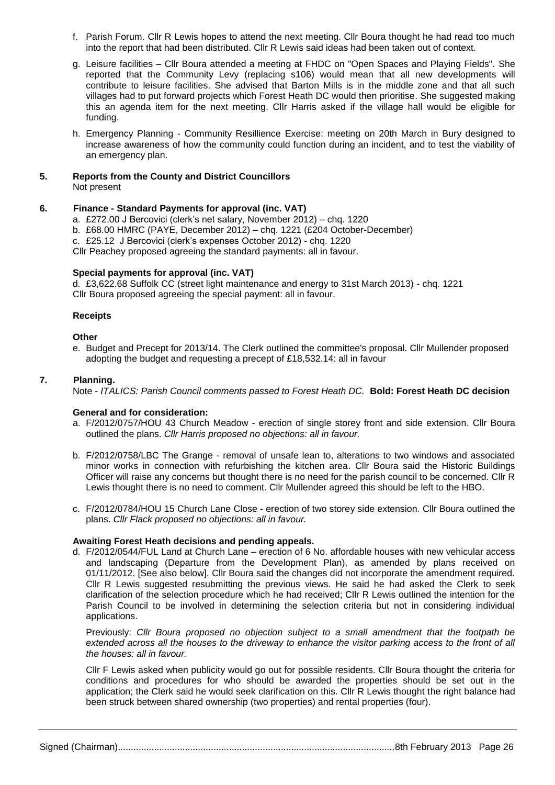- f. Parish Forum. Cllr R Lewis hopes to attend the next meeting. Cllr Boura thought he had read too much into the report that had been distributed. Cllr R Lewis said ideas had been taken out of context.
- g. Leisure facilities Cllr Boura attended a meeting at FHDC on "Open Spaces and Playing Fields". She reported that the Community Levy (replacing s106) would mean that all new developments will contribute to leisure facilities. She advised that Barton Mills is in the middle zone and that all such villages had to put forward projects which Forest Heath DC would then prioritise. She suggested making this an agenda item for the next meeting. Cllr Harris asked if the village hall would be eligible for funding.
- h. Emergency Planning Community Resillience Exercise: meeting on 20th March in Bury designed to increase awareness of how the community could function during an incident, and to test the viability of an emergency plan.

#### **5. Reports from the County and District Councillors** Not present

#### **6. Finance - Standard Payments for approval (inc. VAT)**

- a. £272.00 J Bercovici (clerk's net salary, November 2012) chq. 1220
- b. £68.00 HMRC (PAYE, December 2012) chq. 1221 (£204 October-December)
- c. £25.12 J Bercovici (clerk's expenses October 2012) chq. 1220

Cllr Peachey proposed agreeing the standard payments: all in favour.

#### **Special payments for approval (inc. VAT)**

d. £3,622.68 Suffolk CC (street light maintenance and energy to 31st March 2013) - chq. 1221 Cllr Boura proposed agreeing the special payment: all in favour.

#### **Receipts**

#### **Other**

e. Budget and Precept for 2013/14. The Clerk outlined the committee's proposal. Cllr Mullender proposed adopting the budget and requesting a precept of £18,532.14: all in favour

#### **7. Planning.**

Note - *ITALICS: Parish Council comments passed to Forest Heath DC.* **Bold: Forest Heath DC decision**

#### **General and for consideration:**

- a. F/2012/0757/HOU 43 Church Meadow erection of single storey front and side extension. Cllr Boura outlined the plans. *Cllr Harris proposed no objections: all in favour.*
- b. F/2012/0758/LBC The Grange removal of unsafe lean to, alterations to two windows and associated minor works in connection with refurbishing the kitchen area. Cllr Boura said the Historic Buildings Officer will raise any concerns but thought there is no need for the parish council to be concerned. Cllr R Lewis thought there is no need to comment. Cllr Mullender agreed this should be left to the HBO.
- c. F/2012/0784/HOU 15 Church Lane Close erection of two storey side extension. Cllr Boura outlined the plans. *Cllr Flack proposed no objections: all in favour.*

#### **Awaiting Forest Heath decisions and pending appeals.**

d. F/2012/0544/FUL Land at Church Lane – erection of 6 No. affordable houses with new vehicular access and landscaping (Departure from the Development Plan), as amended by plans received on 01/11/2012. [See also below]. Cllr Boura said the changes did not incorporate the amendment required. Cllr R Lewis suggested resubmitting the previous views. He said he had asked the Clerk to seek clarification of the selection procedure which he had received; Cllr R Lewis outlined the intention for the Parish Council to be involved in determining the selection criteria but not in considering individual applications.

Previously: *Cllr Boura proposed no objection subject to a small amendment that the footpath be extended across all the houses to the driveway to enhance the visitor parking access to the front of all the houses: all in favour.*

Cllr F Lewis asked when publicity would go out for possible residents. Cllr Boura thought the criteria for conditions and procedures for who should be awarded the properties should be set out in the application; the Clerk said he would seek clarification on this. Cllr R Lewis thought the right balance had been struck between shared ownership (two properties) and rental properties (four).

Signed (Chairman)...........................................................................................................8th February 2013 Page 26